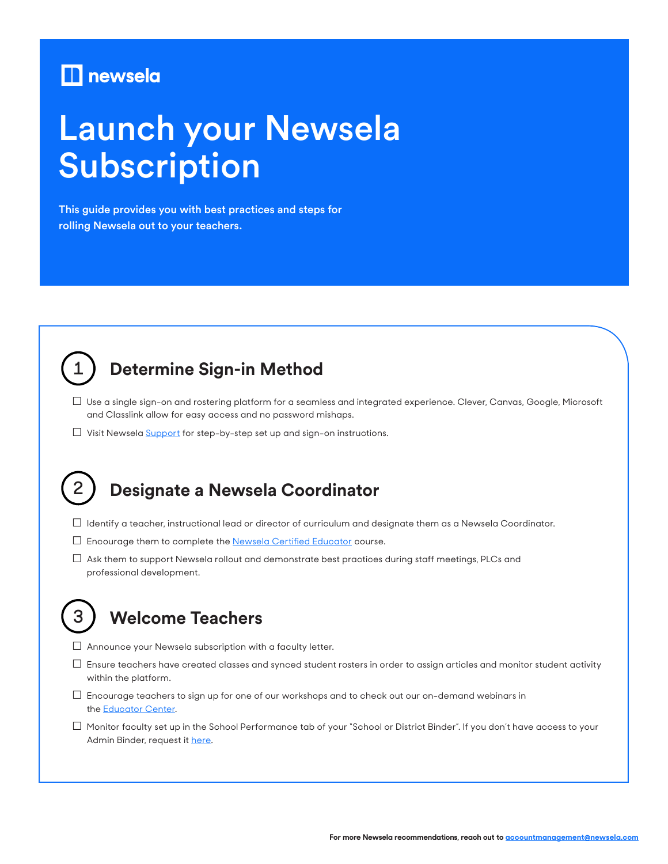# $\blacksquare$  newsela

# Launch your Newsela Subscription

This guide provides you with best practices and steps for rolling Newsela out to your teachers.



**2**

**3**

# **Determine Sign-in Method**

- □ Use a single sign-on and rostering platform for a seamless and integrated experience. Clever, Canvas, Google, Microsoft and Classlink allow for easy access and no password mishaps.
- □ Visit Newsela [Support](https://support.newsela.com/hc/en-us/categories/360000563872-Admins) for step-by-step set up and sign-on instructions.

# **Designate a Newsela Coordinator**

- □ Identify a teacher, instructional lead or director of curriculum and designate them as a Newsela Coordinator.
- □ Encourage them to complete the **[Newsela Certified Educator](https://learn.newsela.com/newsela-certified-educators)** course.
- $\square$  Ask them to support Newsela rollout and demonstrate best practices during staff meetings, PLCs and professional development.

# **Welcome Teachers**

- $\Box$  Announce your Newsela subscription with a faculty letter.
- $\Box$  Ensure teachers have created classes and synced student rosters in order to assign articles and monitor student activity within the platform.
- $\square$  Encourage teachers to sign up for one of our workshops and to check out our on-demand webinars in the **Educator Center**.
- $\Box$  Monitor faculty set up in the School Performance tab of your "School or District Binder". If you don't have access to your Admin Binder, request it [here.](https://support.newsela.com/hc/en-us/articles/360007738831)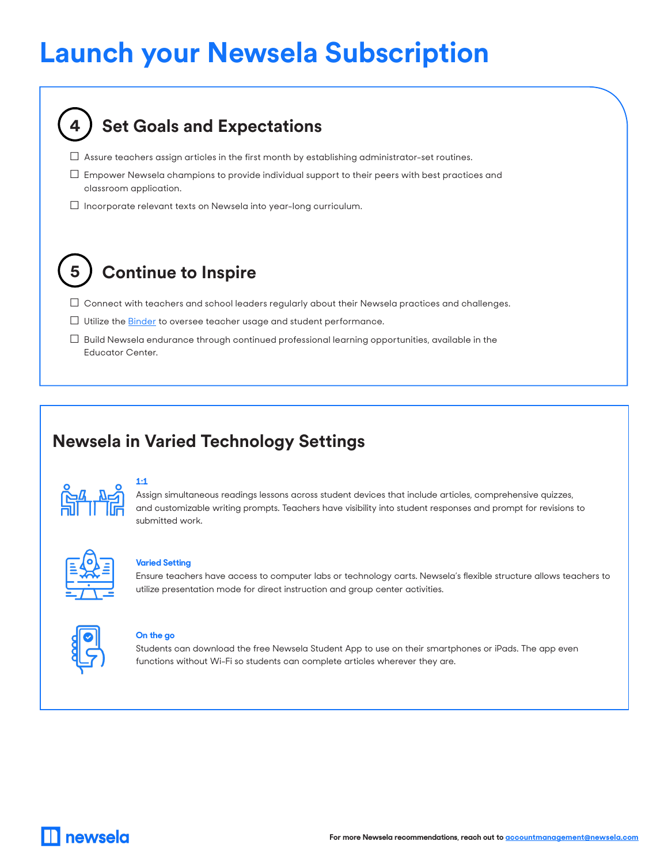# **Launch your Newsela Subscription**

| <b>Set Goals and Expectations</b>                                                                                          |
|----------------------------------------------------------------------------------------------------------------------------|
| Assure teachers assign articles in the first month by establishing administrator-set routines.                             |
| Empower Newsela champions to provide individual support to their peers with best practices and<br>classroom application.   |
| Incorporate relevant texts on Newsela into year-long curriculum.                                                           |
| <b>Continue to Inspire</b>                                                                                                 |
| Connect with teachers and school leaders regularly about their Newsela practices and challenges.                           |
| Utilize the <b>Binder</b> to oversee teacher usage and student performance.                                                |
| Build Newsela endurance through continued professional learning opportunities, available in the<br><b>Educator Center.</b> |

# **Newsela in Varied Technology Settings**



### **1:1**

Assign simultaneous readings lessons across student devices that include articles, comprehensive quizzes, and customizable writing prompts. Teachers have visibility into student responses and prompt for revisions to submitted work.



#### **Varied Setting**

Ensure teachers have access to computer labs or technology carts. Newsela's flexible structure allows teachers to utilize presentation mode for direct instruction and group center activities.



#### **On the go**

Students can download the free Newsela Student App to use on their smartphones or iPads. The app even functions without Wi-Fi so students can complete articles wherever they are.

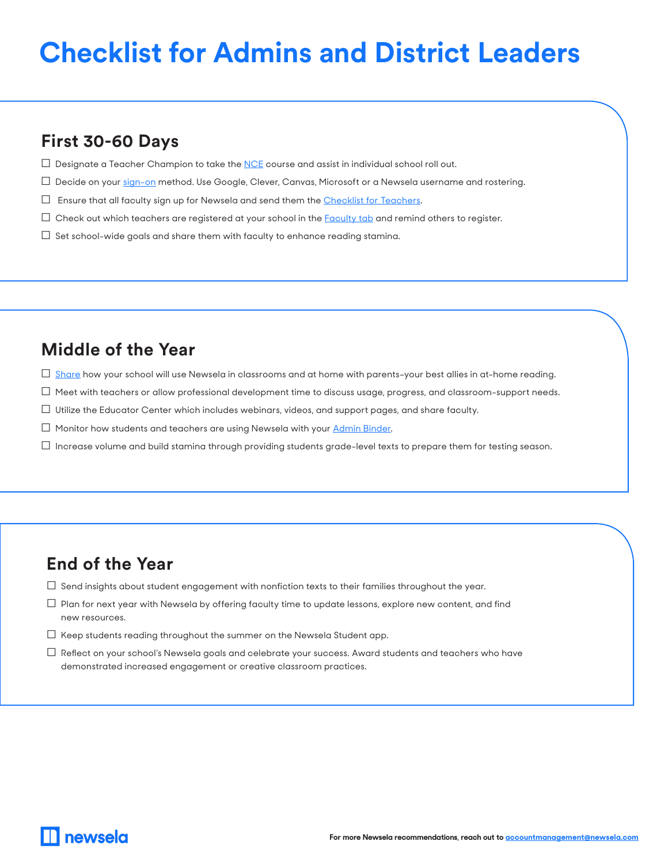# **Checklist for Admins and District Leaders**

## **First 30-60 Days**

- $\Box$  Designate a Teacher Champion to take the [NCE](https://newsela.workrails.com/item/65adc2dd-2f59-4cf5-84dd-c12450282d32) course and assist in individual school roll out.
- □ Decide on your [sign-on](https://support.newsela.com/hc/en-us/categories/360000563872-Admins) method. Use Google, Clever, Canvas, Microsoft or a Newsela username and rostering.
- $\square$  Ensure that all faculty sign up for Newsela and send them the [Checklist for Teachers.](https://go.newsela.com/rs/628-ZPE-510/images/COM-Campaign-Onboarding-Educator-Checklist.pdf)
- $\Box$  Check out which teachers are registered at your school in the **[Faculty tab](https://newsela.com/settings/#/faculty/)** and remind others to register.
- $\Box$  Set school-wide goals and share them with faculty to enhance reading stamina.

### **Middle of the Year**

- $\Box$  [Share](https://go.newsela.com/rs/628-ZPE-510/images/COM-Campaign-Onboarding-FamilyLetterEng.pdf) how your school will use Newsela in classrooms and at home with parents-your best allies in at-home reading.
- $\Box$  Meet with teachers or allow professional development time to discuss usage, progress, and classroom-support needs.
- $\Box$  Utilize the Educator Center which includes webinars, videos, and support pages, and share faculty.
- $\Box$  Monitor how students and teachers are using Newsela with your Admin [Binder](https://newsela.com/pro-binder/).
- $\Box$  Increase volume and build stamina through providing students grade-level texts to prepare them for testing season.

### **End of the Year**

- $\Box$  Send insights about student engagement with nonfiction texts to their families throughout the year.
- $\Box$  Plan for next year with Newsela by offering faculty time to update lessons, explore new content, and find new resources.
- $\Box$  Keep students reading throughout the summer on the Newsela Student app.
- $\Box$  Reflect on your school's Newsela goals and celebrate your success. Award students and teachers who have demonstrated increased engagement or creative classroom practices.